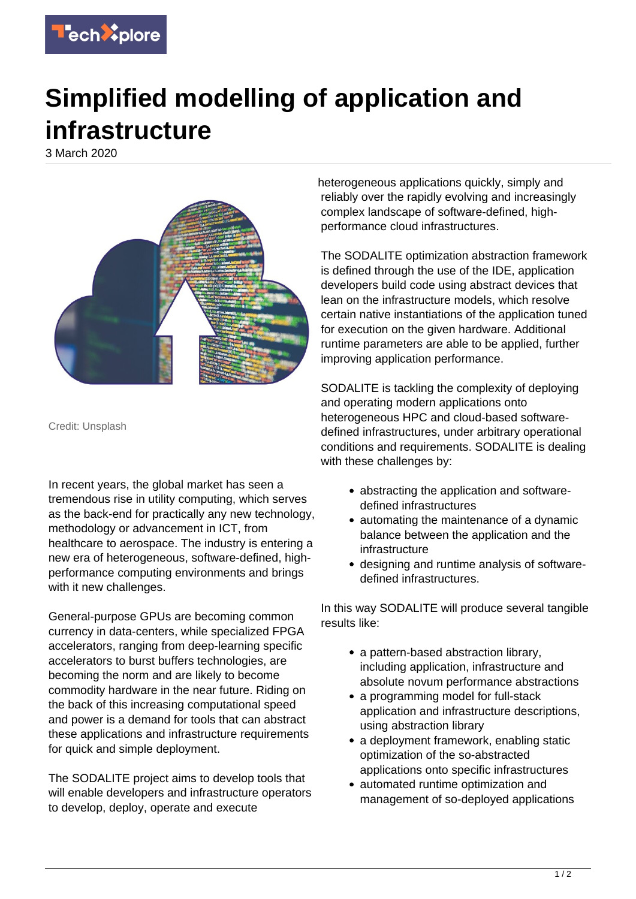

## **Simplified modelling of application and infrastructure**

3 March 2020



Credit: Unsplash

In recent years, the global market has seen a tremendous rise in utility computing, which serves as the back-end for practically any new technology, methodology or advancement in ICT, from healthcare to aerospace. The industry is entering a new era of heterogeneous, software-defined, highperformance computing environments and brings with it new challenges.

General-purpose GPUs are becoming common currency in data-centers, while specialized FPGA accelerators, ranging from deep-learning specific accelerators to burst buffers technologies, are becoming the norm and are likely to become commodity hardware in the near future. Riding on the back of this increasing computational speed and power is a demand for tools that can abstract these applications and infrastructure requirements for quick and simple deployment.

The SODALITE project aims to develop tools that will enable developers and infrastructure operators to develop, deploy, operate and execute

heterogeneous applications quickly, simply and reliably over the rapidly evolving and increasingly complex landscape of software-defined, highperformance cloud infrastructures.

The SODALITE optimization abstraction framework is defined through the use of the IDE, application developers build code using abstract devices that lean on the infrastructure models, which resolve certain native instantiations of the application tuned for execution on the given hardware. Additional runtime parameters are able to be applied, further improving application performance.

SODALITE is tackling the complexity of deploying and operating modern applications onto heterogeneous HPC and cloud-based softwaredefined infrastructures, under arbitrary operational conditions and requirements. SODALITE is dealing with these challenges by:

- abstracting the application and softwaredefined infrastructures
- automating the maintenance of a dynamic balance between the application and the infrastructure
- designing and runtime analysis of softwaredefined infrastructures.

In this way SODALITE will produce several tangible results like:

- a pattern-based abstraction library, including application, infrastructure and absolute novum performance abstractions
- a programming model for full-stack application and infrastructure descriptions, using abstraction library
- a deployment framework, enabling static optimization of the so-abstracted applications onto specific infrastructures
- automated runtime optimization and management of so-deployed applications